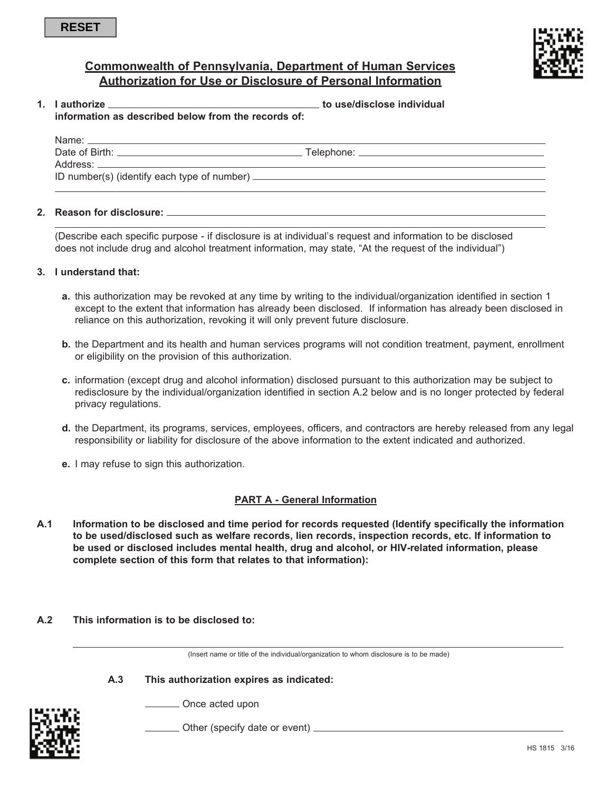

# **Commonwealth of Pennsylvania, Department of Human Services Authorization for Use or Disclosure of Personal Information**

**1. I authorize to use/disclose individual** 

| information as described below from the records of: |  |  |  |
|-----------------------------------------------------|--|--|--|
|                                                     |  |  |  |

Name: Date of Birth: Telephone:

Address: \_\_ ID number(s) (identify each type of number)

## **2. Reason for disclosure:**

(Describe each specific purpose - if disclosure is at individual's request and information to be disclosed does not include drug and alcohol treatment information, may state, "At the request of the individual")

## **3. I understand that:**

- **a.** this authorization may be revoked at any time by writing to the individual/organization identified in section 1 except to the extent that information has already been disclosed. If information has already been disclosed in reliance on this authorization, revoking it will only prevent future disclosure.
- **b.** the Department and its health and human services programs will not condition treatment, payment, enrollment or eligibility on the provision of this authorization.
- **c.** information (except drug and alcohol information) disclosed pursuant to this authorization may be subject to redisclosure by the individual/organization identified in section A.2 below and is no longer protected by federal privacy regulations.
- **d.** the Department, its programs, services, employees, officers, and contractors are hereby released from any legal responsibility or liability for disclosure of the above information to the extent indicated and authorized.
- **e.** I may refuse to sign this authorization.

## **PART A - General Information**

- **A.1 Information to be disclosed and time period for records requested (Identify specifically the information to be used/disclosed such as welfare records, lien records, inspection records, etc. If information to be used or disclosed includes mental health, drug and alcohol, or HIV-related information, please complete section of this form that relates to that information):**
- **A.2 This information is to be disclosed to:**

(Insert name or title of the individual/organization to whom disclosure is to be made)

## **A.3 This authorization expires as indicated:**

**No. 2008** Once acted upon

Letter (specify date or event) Letter Contains Dunner Contains a Director Contains a Director Contains a Direct